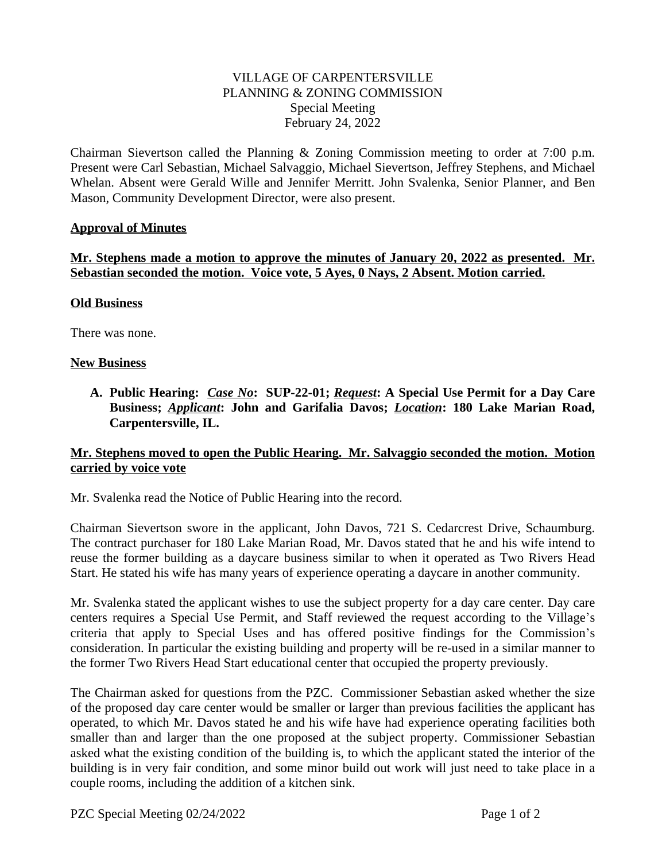# VILLAGE OF CARPENTERSVILLE PLANNING & ZONING COMMISSION Special Meeting February 24, 2022

Chairman Sievertson called the Planning & Zoning Commission meeting to order at 7:00 p.m. Present were Carl Sebastian, Michael Salvaggio, Michael Sievertson, Jeffrey Stephens, and Michael Whelan. Absent were Gerald Wille and Jennifer Merritt. John Svalenka, Senior Planner, and Ben Mason, Community Development Director, were also present.

## **Approval of Minutes**

**Mr. Stephens made a motion to approve the minutes of January 20, 2022 as presented. Mr. Sebastian seconded the motion. Voice vote, 5 Ayes, 0 Nays, 2 Absent. Motion carried.**

## **Old Business**

There was none.

## **New Business**

**A. Public Hearing:** *Case No***: SUP-22-01;** *Request***: A Special Use Permit for a Day Care Business;** *Applicant***: John and Garifalia Davos;** *Location***: 180 Lake Marian Road, Carpentersville, IL.**

## **Mr. Stephens moved to open the Public Hearing. Mr. Salvaggio seconded the motion. Motion carried by voice vote**

Mr. Svalenka read the Notice of Public Hearing into the record.

Chairman Sievertson swore in the applicant, John Davos, 721 S. Cedarcrest Drive, Schaumburg. The contract purchaser for 180 Lake Marian Road, Mr. Davos stated that he and his wife intend to reuse the former building as a daycare business similar to when it operated as Two Rivers Head Start. He stated his wife has many years of experience operating a daycare in another community.

Mr. Svalenka stated the applicant wishes to use the subject property for a day care center. Day care centers requires a Special Use Permit, and Staff reviewed the request according to the Village's criteria that apply to Special Uses and has offered positive findings for the Commission's consideration. In particular the existing building and property will be re-used in a similar manner to the former Two Rivers Head Start educational center that occupied the property previously.

The Chairman asked for questions from the PZC. Commissioner Sebastian asked whether the size of the proposed day care center would be smaller or larger than previous facilities the applicant has operated, to which Mr. Davos stated he and his wife have had experience operating facilities both smaller than and larger than the one proposed at the subject property. Commissioner Sebastian asked what the existing condition of the building is, to which the applicant stated the interior of the building is in very fair condition, and some minor build out work will just need to take place in a couple rooms, including the addition of a kitchen sink.